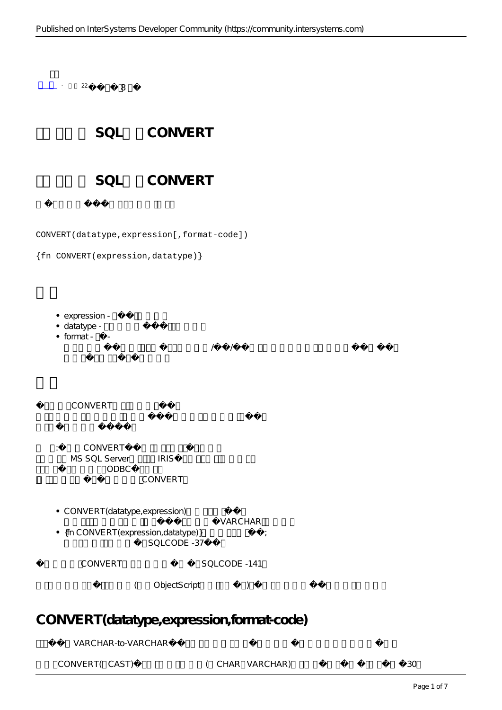

CONVERT(datatype,expression[,format-code])

|  |  | {fn CONVERT(expression, datatype)} |  |
|--|--|------------------------------------|--|
|--|--|------------------------------------|--|

• expression -

- datatype -
- $\bullet$  format  $\bullet$

指定日期和时间格式的整数代码,用于在日期/时间/时间戳数据类型和字符数据类型之间进行转换。

CONVERT

- 注意:这两个CONVERT实现中的参数以不同的顺序表示。 MS SQL Server IRIS ODBC CONVERT
- $\bullet$  CONVERT (datatype, expression)

VARCHAR • {fn CONVERT(expression,datatype)} ;  $SOLCO<sub>DE</sub> -37$ 

CONVERT SQLCODE -141

( ObjectScript )

# **CONVERT(datatype,expression,format-code)**

VARCHAR-to-VARCHAR

CONVERT(CAST) (CHAR VARCHAR) 30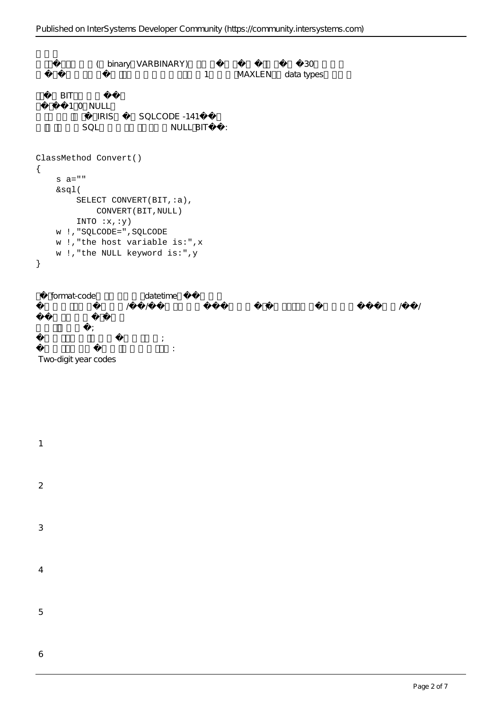```
(binary VARBINARY) 30
                                            1 MAXLEN data types
      可以执行BIT数据类型转换。
        1 0 NULL
            | IRIS | SQLCODE -141<br>SQL     NULL BI
                                   NULL BIT :
ClassMethod Convert()
{
      s a=""
      &sql(
          SELECT CONVERT(BIT, :a),
                 CONVERT(BIT,NULL)
          INTO :x,'y) w !,"SQLCODE=",SQLCODE
      w !,"the host variable is:",x
      w !,"the NULL keyword is:",y
}
    format-code datetime
, and the contract of the contract of the contract of the contract of the contract of the contract of the contract of the contract of the contract of the contract of the contract of the contract of the contract of the con
大特式代码;
```
Two-digit year codes

1

 $\overline{2}$ 

3

4

5

6

 $\frac{1}{\sqrt{2}}$ 输出四位数年或不输出年的格式列在第二列: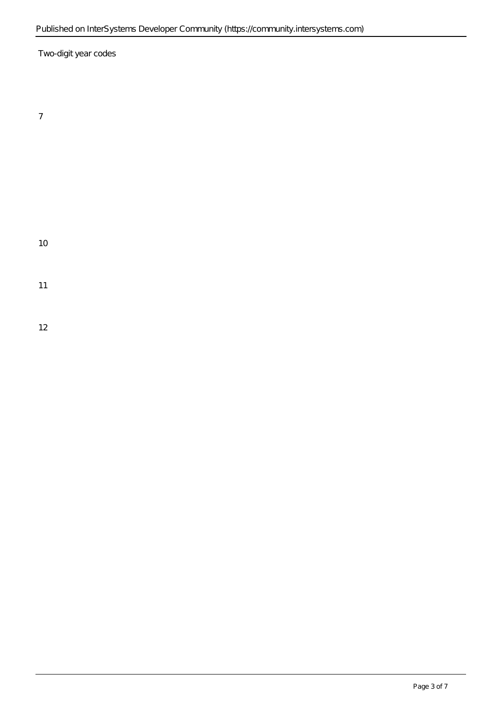Two-digit year codes

10

11

12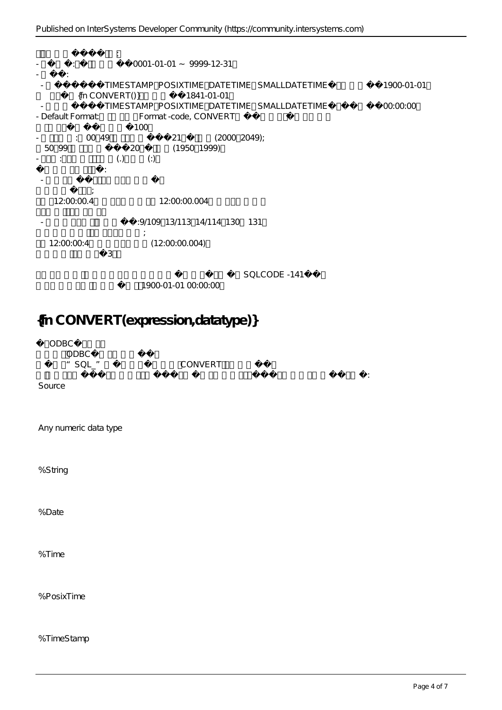以下是日期和时间转换的特性:  $-$  20001-01-01 ~ 9999-12-31 - 默认值: TIMESTAMP POSIXTIME DATETIME SMALLDATETIME 1900-01-01  ${fn CONVERT()}$  1841-01-01 - TIMESTAMP POSIXTIME DATETIME SMALLDATETIME<br>- Default Format the Format-code CONVERT Format-code, CONVERT 100  $\begin{array}{cccc} \cdot & 00 & 49 & 21 & (2000 & 2049); \\ \hline 50 & 99 & & 20 & (1950 & 1999) \end{array}$ 从50到99的两位数年份转换为20世纪的日期(1950到1999)。  $\vdots$  (.) (.) 这些符号有不同的含义: - 句点是默认值,可用于所有格式代码。 句号表示标准分数; 12:00:00.4 12:00:00.004 : 9/109 13/113 14/114 130 131 冒号表示后面的数字是千分之一秒; 1 2:00:00:4 (12:00:00.004) 冒号后面的数字限制为3位。  $SOLCONF -141$ 

1900-01-01 00:00:00

# **{fn CONVERT(expression,datatype)}**

ODBC ODBC \*SQL "
CONVERT 在下表中,有两组转换数据类型,第一组转换数据值和数据类型,第二组转换数据类型,但不转换数据值: Source Any numeric data type %String %Date %Time %PosixTime

%TimeStamp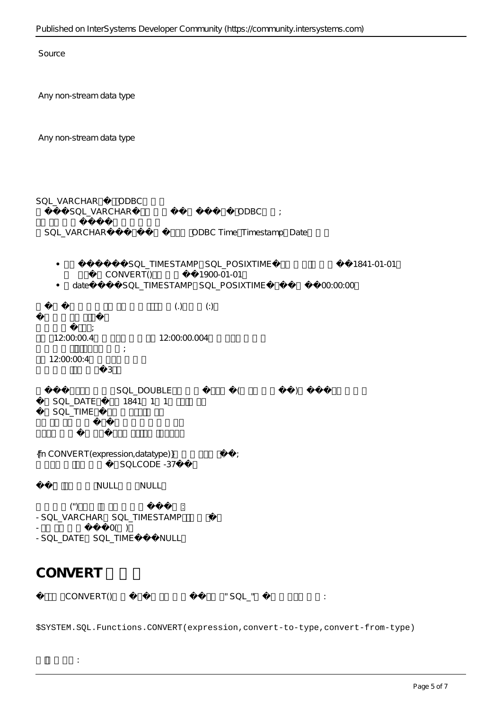Source

Any non-stream data type

Any non-stream data type

 $\frac{1}{\sqrt{2}}$ 

SQL\_VARCHAR ODBC SQL\_VARCHAR , 0DBC ; SQL\_VARCHAR
soll\_vare density odder time Timestamp Date SQL\_TIMESTAMP\_SQL\_POSIXTIME 1841-01-01  $\bullet$ CONVERT() 1900-01-01 date SQL\_TIMESTAMP SQL\_POSIXTIME 00:00:00  $\bullet$  $\overline{z}$  (.) 句号表示标准分数; 12:00:00.4 12:00:00.004  $\mathcal{L}_{\mathcal{A}}$ 12:00:00:4 冒号后面的数字限制为3位。 SQL\_DOUBLE () SQL\_DATE 1841 1 1 SQL\_TIME  ${\fceil}$  CONVERT(expression,datatype)} SQLCODE -37 NULL NULL  $(\degree)$  , and the set of the set of the set of the set of the set of the set of the set of the set of the set of the set of the set of the set of the set of the set of the set of the set of the set of the set of the set of - SQL\_VARCHAR SQL\_TIMESTAMP  $O($ - SQL\_DATE SQL\_TIME NULL **CONVERT 类方法**

CONVERT()  $\blacksquare$  SQL  $\blacksquare$ 

\$SYSTEM.SQL.Functions.CONVERT(expression,convert-to-type,convert-from-type)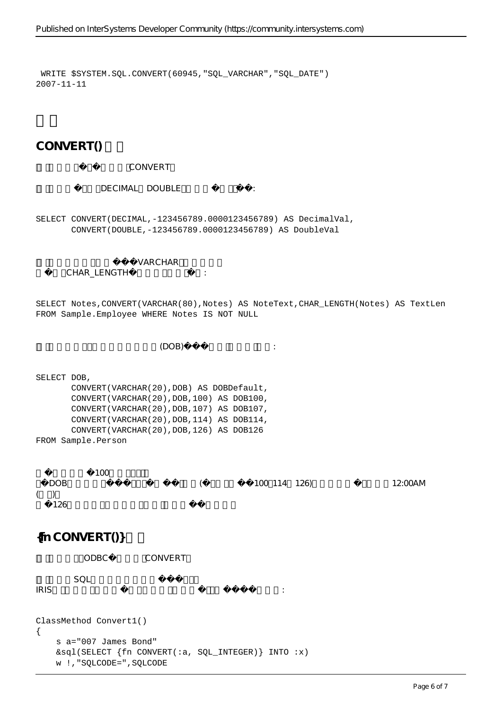WRITE \$SYSTEM.SQL.CONVERT(60945,"SQL\_VARCHAR","SQL\_DATE") 2007-11-11

 $CONVERT()$ 

### CONVERT

DECIMAL DOUBLE :

SELECT CONVERT(DECIMAL,-123456789.0000123456789) AS DecimalVal, CONVERT(DOUBLE,-123456789.0000123456789) AS DoubleVal

VARCHAR

### CHAR\_LENGTH

SELECT Notes,CONVERT(VARCHAR(80),Notes) AS NoteText,CHAR\_LENGTH(Notes) AS TextLen FROM Sample.Employee WHERE Notes IS NOT NULL

 $(DOB)$ 

SELECT DOB, CONVERT(VARCHAR(20),DOB) AS DOBDefault, CONVERT(VARCHAR(20),DOB,100) AS DOB100, CONVERT(VARCHAR(20),DOB,107) AS DOB107, CONVERT(VARCHAR(20),DOB,114) AS DOB114, CONVERT(VARCHAR(20),DOB,126) AS DOB126 FROM Sample.Person

100 因为DOB字段不包含时间值,所以显示时间的格式(这里包括默认值100、114和126)提供一个零值,它表示12:00AM  $($  $126$ 

## ${ffn CONVERT()}$

ODBC CONVERT

 $SQL$ 

 $IRIS$ 

```
ClassMethod Convert1()
{
     s a="007 James Bond"
     &sql(SELECT {fn CONVERT(:a, SQL_INTEGER)} INTO :x)
     w !,"SQLCODE=",SQLCODE
```